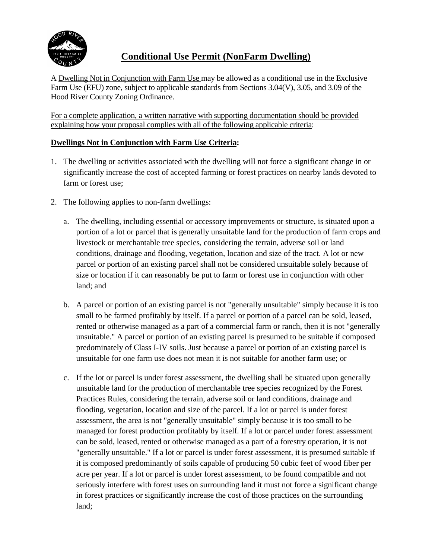

# **Conditional Use Permit (NonFarm Dwelling)**

A Dwelling Not in Conjunction with Farm Use may be allowed as a conditional use in the Exclusive Farm Use (EFU) zone, subject to applicable standards from Sections 3.04(V), 3.05, and 3.09 of the Hood River County Zoning Ordinance.

For a complete application, a written narrative with supporting documentation should be provided explaining how your proposal complies with all of the following applicable criteria:

## **Dwellings Not in Conjunction with Farm Use Criteria:**

- 1. The dwelling or activities associated with the dwelling will not force a significant change in or significantly increase the cost of accepted farming or forest practices on nearby lands devoted to farm or forest use;
- 2. The following applies to non-farm dwellings:
	- a. The dwelling, including essential or accessory improvements or structure, is situated upon a portion of a lot or parcel that is generally unsuitable land for the production of farm crops and livestock or merchantable tree species, considering the terrain, adverse soil or land conditions, drainage and flooding, vegetation, location and size of the tract. A lot or new parcel or portion of an existing parcel shall not be considered unsuitable solely because of size or location if it can reasonably be put to farm or forest use in conjunction with other land; and
	- b. A parcel or portion of an existing parcel is not "generally unsuitable" simply because it is too small to be farmed profitably by itself. If a parcel or portion of a parcel can be sold, leased, rented or otherwise managed as a part of a commercial farm or ranch, then it is not "generally unsuitable." A parcel or portion of an existing parcel is presumed to be suitable if composed predominately of Class I-IV soils. Just because a parcel or portion of an existing parcel is unsuitable for one farm use does not mean it is not suitable for another farm use; or
	- c. If the lot or parcel is under forest assessment, the dwelling shall be situated upon generally unsuitable land for the production of merchantable tree species recognized by the Forest Practices Rules, considering the terrain, adverse soil or land conditions, drainage and flooding, vegetation, location and size of the parcel. If a lot or parcel is under forest assessment, the area is not "generally unsuitable" simply because it is too small to be managed for forest production profitably by itself. If a lot or parcel under forest assessment can be sold, leased, rented or otherwise managed as a part of a forestry operation, it is not "generally unsuitable." If a lot or parcel is under forest assessment, it is presumed suitable if it is composed predominantly of soils capable of producing 50 cubic feet of wood fiber per acre per year. If a lot or parcel is under forest assessment, to be found compatible and not seriously interfere with forest uses on surrounding land it must not force a significant change in forest practices or significantly increase the cost of those practices on the surrounding land;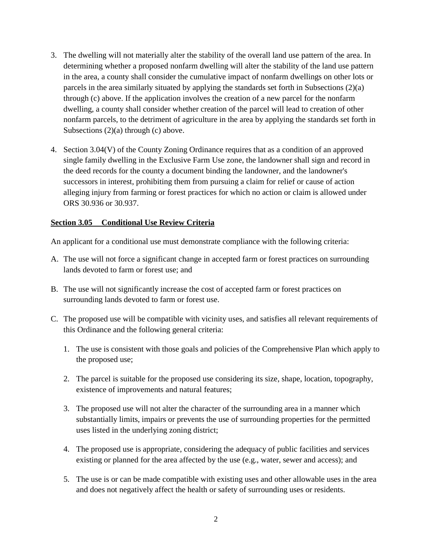- 3. The dwelling will not materially alter the stability of the overall land use pattern of the area. In determining whether a proposed nonfarm dwelling will alter the stability of the land use pattern in the area, a county shall consider the cumulative impact of nonfarm dwellings on other lots or parcels in the area similarly situated by applying the standards set forth in Subsections (2)(a) through (c) above. If the application involves the creation of a new parcel for the nonfarm dwelling, a county shall consider whether creation of the parcel will lead to creation of other nonfarm parcels, to the detriment of agriculture in the area by applying the standards set forth in Subsections (2)(a) through (c) above.
- 4. Section 3.04(V) of the County Zoning Ordinance requires that as a condition of an approved single family dwelling in the Exclusive Farm Use zone, the landowner shall sign and record in the deed records for the county a document binding the landowner, and the landowner's successors in interest, prohibiting them from pursuing a claim for relief or cause of action alleging injury from farming or forest practices for which no action or claim is allowed under ORS 30.936 or 30.937.

#### **Section 3.05 Conditional Use Review Criteria**

An applicant for a conditional use must demonstrate compliance with the following criteria:

- A. The use will not force a significant change in accepted farm or forest practices on surrounding lands devoted to farm or forest use; and
- B. The use will not significantly increase the cost of accepted farm or forest practices on surrounding lands devoted to farm or forest use.
- C. The proposed use will be compatible with vicinity uses, and satisfies all relevant requirements of this Ordinance and the following general criteria:
	- 1. The use is consistent with those goals and policies of the Comprehensive Plan which apply to the proposed use;
	- 2. The parcel is suitable for the proposed use considering its size, shape, location, topography, existence of improvements and natural features;
	- 3. The proposed use will not alter the character of the surrounding area in a manner which substantially limits, impairs or prevents the use of surrounding properties for the permitted uses listed in the underlying zoning district;
	- 4. The proposed use is appropriate, considering the adequacy of public facilities and services existing or planned for the area affected by the use (e.g., water, sewer and access); and
	- 5. The use is or can be made compatible with existing uses and other allowable uses in the area and does not negatively affect the health or safety of surrounding uses or residents.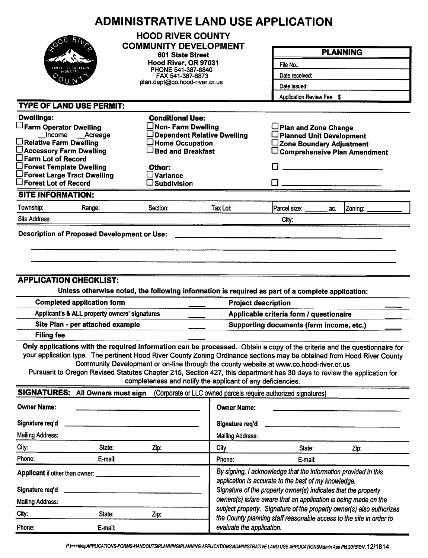|                                                                                                                                                                                                                                                    | <b>ADMINISTRATIVE LAND USE APPLICATION</b>                                                                                                                                                                                                                                                                                                                                                                             |                                                                                                                                                                                           |                                                                      |                                                                                     |  |  |  |
|----------------------------------------------------------------------------------------------------------------------------------------------------------------------------------------------------------------------------------------------------|------------------------------------------------------------------------------------------------------------------------------------------------------------------------------------------------------------------------------------------------------------------------------------------------------------------------------------------------------------------------------------------------------------------------|-------------------------------------------------------------------------------------------------------------------------------------------------------------------------------------------|----------------------------------------------------------------------|-------------------------------------------------------------------------------------|--|--|--|
|                                                                                                                                                                                                                                                    | <b>HOOD RIVER COUNTY</b><br><b>COMMUNITY DEVELOPMENT</b>                                                                                                                                                                                                                                                                                                                                                               |                                                                                                                                                                                           |                                                                      | <b>PLANNING</b>                                                                     |  |  |  |
|                                                                                                                                                                                                                                                    | 601 State Street                                                                                                                                                                                                                                                                                                                                                                                                       |                                                                                                                                                                                           |                                                                      |                                                                                     |  |  |  |
|                                                                                                                                                                                                                                                    | Hood River, OR 97031<br>PHONE 541-387-6840                                                                                                                                                                                                                                                                                                                                                                             |                                                                                                                                                                                           | File No.:                                                            |                                                                                     |  |  |  |
|                                                                                                                                                                                                                                                    | FAX 541-387-6873                                                                                                                                                                                                                                                                                                                                                                                                       |                                                                                                                                                                                           | Date received:                                                       |                                                                                     |  |  |  |
|                                                                                                                                                                                                                                                    |                                                                                                                                                                                                                                                                                                                                                                                                                        | plan.dept@co.hood-river.or.us                                                                                                                                                             |                                                                      | Date issued:<br>Application Review Fee \$                                           |  |  |  |
|                                                                                                                                                                                                                                                    |                                                                                                                                                                                                                                                                                                                                                                                                                        |                                                                                                                                                                                           |                                                                      |                                                                                     |  |  |  |
| <b>TYPE OF LAND USE PERMIT:</b>                                                                                                                                                                                                                    |                                                                                                                                                                                                                                                                                                                                                                                                                        |                                                                                                                                                                                           |                                                                      |                                                                                     |  |  |  |
| <b>Dwellings:</b>                                                                                                                                                                                                                                  | <b>Conditional Use:</b>                                                                                                                                                                                                                                                                                                                                                                                                |                                                                                                                                                                                           |                                                                      |                                                                                     |  |  |  |
| Farm Operator Dwelling<br>Income __Acreage                                                                                                                                                                                                         | $\Box$ Non- Farm Dwelling                                                                                                                                                                                                                                                                                                                                                                                              | Dependent Relative Dwelling                                                                                                                                                               | Plan and Zone Change<br>□ Planned Unit Development                   |                                                                                     |  |  |  |
| $\Box$ Relative Farm Dwelling                                                                                                                                                                                                                      | $\Box$ Home Occupation                                                                                                                                                                                                                                                                                                                                                                                                 |                                                                                                                                                                                           | ∟Zone Boundary Adjustment                                            |                                                                                     |  |  |  |
| □ Accessory Farm Dwelling                                                                                                                                                                                                                          | $\Box$ Bed and Breakfast                                                                                                                                                                                                                                                                                                                                                                                               |                                                                                                                                                                                           |                                                                      | $\Box$ Comprehensive Plan Amendment                                                 |  |  |  |
| $\square$ Farm Lot of Record<br>$\Box$ Forest Template Dwelling                                                                                                                                                                                    | Other:                                                                                                                                                                                                                                                                                                                                                                                                                 |                                                                                                                                                                                           |                                                                      |                                                                                     |  |  |  |
| $\square$ Forest Large Tract Dwelling                                                                                                                                                                                                              | $\square$ Variance                                                                                                                                                                                                                                                                                                                                                                                                     |                                                                                                                                                                                           |                                                                      |                                                                                     |  |  |  |
| $\square$ Forest Lot of Record                                                                                                                                                                                                                     | $\square$ Subdivision                                                                                                                                                                                                                                                                                                                                                                                                  |                                                                                                                                                                                           |                                                                      |                                                                                     |  |  |  |
| <b>SITE INFORMATION:</b>                                                                                                                                                                                                                           |                                                                                                                                                                                                                                                                                                                                                                                                                        |                                                                                                                                                                                           |                                                                      |                                                                                     |  |  |  |
| Township:<br>Range:                                                                                                                                                                                                                                | Section:                                                                                                                                                                                                                                                                                                                                                                                                               | Tax Lot:                                                                                                                                                                                  | Parcel size: ______<br>ac.                                           | Zoning:                                                                             |  |  |  |
| Site Address:                                                                                                                                                                                                                                      |                                                                                                                                                                                                                                                                                                                                                                                                                        |                                                                                                                                                                                           | City:                                                                |                                                                                     |  |  |  |
| <b>Filing fee</b>                                                                                                                                                                                                                                  | <b>APPLICATION CHECKLIST:</b><br>Unless otherwise noted, the following information is required as part of a complete application:<br><b>Completed application form</b><br><b>Project description</b><br>Applicant's & ALL property owners' signatures<br>Site Plan - per attached example<br>Only applications with the required information can be processed. Obtain a copy of the criteria and the questionnaire for |                                                                                                                                                                                           |                                                                      | Applicable criteria form / questionaire<br>Supporting documents (farm income, etc.) |  |  |  |
| your application type. The pertinent Hood River County Zoning Ordinance sections may be obtained from Hood River County<br>Pursuant to Oregon Revised Statutes Chapter 215, Section 427, this department has 30 days to review the application for | Community Development or on-line through the county website at www.co.hood-river.or.us<br>completeness and notify the applicant of any deficiencies.                                                                                                                                                                                                                                                                   |                                                                                                                                                                                           |                                                                      |                                                                                     |  |  |  |
| SIGNATURES: All Owners must sign                                                                                                                                                                                                                   |                                                                                                                                                                                                                                                                                                                                                                                                                        |                                                                                                                                                                                           | (Corporate or LLC owned parcels require authorized signatures)       |                                                                                     |  |  |  |
| <b>Owner Name:</b>                                                                                                                                                                                                                                 |                                                                                                                                                                                                                                                                                                                                                                                                                        | <b>Owner Name:</b>                                                                                                                                                                        |                                                                      |                                                                                     |  |  |  |
| Signature req'd                                                                                                                                                                                                                                    |                                                                                                                                                                                                                                                                                                                                                                                                                        | Signature req'd                                                                                                                                                                           |                                                                      |                                                                                     |  |  |  |
| <b>Mailing Address:</b>                                                                                                                                                                                                                            |                                                                                                                                                                                                                                                                                                                                                                                                                        | <b>Mailing Address:</b>                                                                                                                                                                   |                                                                      |                                                                                     |  |  |  |
| City:<br>State:                                                                                                                                                                                                                                    | Zip:                                                                                                                                                                                                                                                                                                                                                                                                                   | City:                                                                                                                                                                                     | State:                                                               | Zip:                                                                                |  |  |  |
| Phone:<br>E-mail:                                                                                                                                                                                                                                  |                                                                                                                                                                                                                                                                                                                                                                                                                        | Phone:                                                                                                                                                                                    | E-mail:                                                              |                                                                                     |  |  |  |
| Applicant if other than owner:<br>Signature req'd                                                                                                                                                                                                  |                                                                                                                                                                                                                                                                                                                                                                                                                        | By signing, I acknowledge that the information provided in this<br>application is accurate to the best of my knowledge.<br>Signature of the property owner(s) indicates that the property |                                                                      |                                                                                     |  |  |  |
| <b>Mailing Address:</b>                                                                                                                                                                                                                            |                                                                                                                                                                                                                                                                                                                                                                                                                        |                                                                                                                                                                                           | owners(s) is/are aware that an application is being made on the      |                                                                                     |  |  |  |
| City:<br>State:                                                                                                                                                                                                                                    | Zip:                                                                                                                                                                                                                                                                                                                                                                                                                   |                                                                                                                                                                                           | subject property. Signature of the property owner(s) also authorizes |                                                                                     |  |  |  |
| Phone:<br>E-mail:                                                                                                                                                                                                                                  |                                                                                                                                                                                                                                                                                                                                                                                                                        | evaluate the application.                                                                                                                                                                 | the County planning staff reasonable access to the site in order to  |                                                                                     |  |  |  |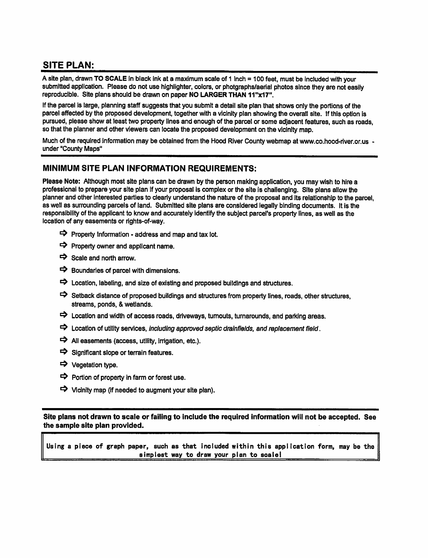# **SITE PLAN:**

A site plan, drawn TO SCALE in black ink at a maximum scale of 1 inch = 100 feet, must be included with your submitted application. Please do not use highlighter, colors, or photgraphs/aerial photos since they are not easily reproducible. Site plans should be drawn on paper NO LARGER THAN 11"x17".

If the parcel is large, planning staff suggests that you submit a detail site plan that shows only the portions of the parcel affected by the proposed development, together with a vicinity plan showing the overall site. If this option is pursued, please show at least two property lines and enough of the parcel or some adjacent features, such as roads, so that the planner and other viewers can locate the proposed development on the vicinity map.

Much of the required information may be obtained from the Hood River County webmap at www.co.hood-river.or.us under "County Maps"

#### MINIMUM SITE PLAN INFORMATION REQUIREMENTS:

Please Note: Although most site plans can be drawn by the person making application, you may wish to hire a professional to prepare your site plan if your proposal is complex or the site is challenging. Site plans allow the planner and other interested parties to clearly understand the nature of the proposal and its relationship to the parcel. as well as surrounding parcels of land. Submitted site plans are considered legally binding documents. It is the responsibility of the applicant to know and accurately identify the subject parcel's property lines, as well as the location of any easements or rights-of-way.

- $\Rightarrow$  Property Information address and map and tax lot.
- $\Rightarrow$  Property owner and applicant name.
- $\Rightarrow$  Scale and north arrow.
- $\Rightarrow$  Boundaries of parcel with dimensions.
- $\Rightarrow$  Location, labeling, and size of existing and proposed buildings and structures.
- Setback distance of proposed buildings and structures from property lines, roads, other structures, streams, ponds, & wetlands.
- $\Rightarrow$  Location and width of access roads, driveways, turnouts, turnarounds, and parking areas.
- $\Rightarrow$  Location of utility services, including approved septic drainfields, and replacement field.
- $\Rightarrow$  All easements (access, utility, irrigation, etc.).
- $\Rightarrow$  Significant slope or terrain features.
- → Vegetation type.
- $\Rightarrow$  Portion of property in farm or forest use.
- $\Rightarrow$  Vicinity map (if needed to augment your site plan).

Site plans not drawn to scale or failing to include the required information will not be accepted. See the sample site plan provided.

Using a piece of graph paper, such as that included within this application form, may be the simplest way to draw your plan to scale!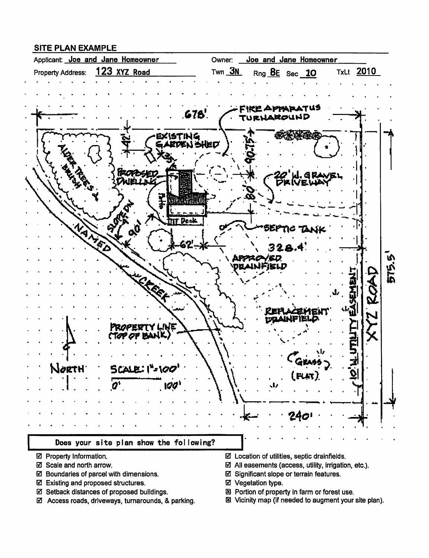### **SITE PLAN EXAMPLE**



- ☑ Property Information.
- ☑ Scale and north arrow.
- ☑ Boundaries of parcel with dimensions.
- ☑ Existing and proposed structures.
- ☑ Setback distances of proposed buildings.
- ☑ Access roads, driveways, turnarounds, & parking.
- $\boxtimes$  Location of utilities, septic drainfields.
- $\boxtimes$  All easements (access, utility, irrigation, etc.).
- ☑ Significant slope or terrain features.
- ☑ Vegetation type.
- 図 Portion of property in farm or forest use.
- 图 Vicinity map (if needed to augment your site plan).